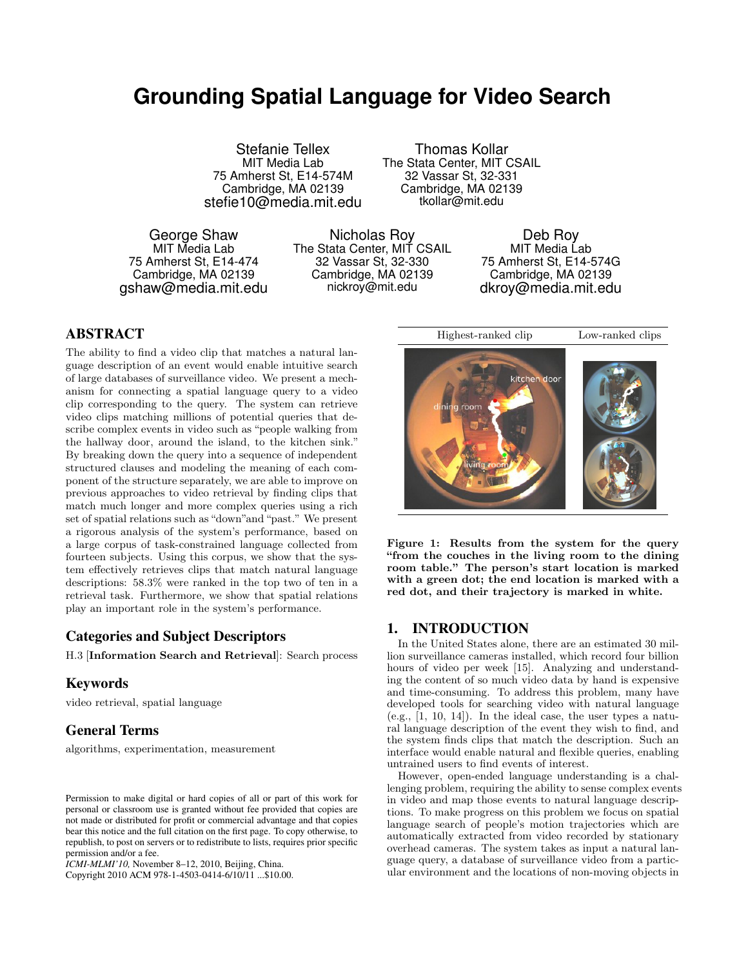# **Grounding Spatial Language for Video Search**

Stefanie Tellex MIT Media Lab 75 Amherst St, E14-574M Cambridge, MA 02139 stefie10@media.mit.edu

Thomas Kollar The Stata Center, MIT CSAIL 32 Vassar St, 32-331 Cambridge, MA 02139 tkollar@mit.edu

George Shaw MIT Media Lab 75 Amherst St, E14-474 Cambridge, MA 02139 gshaw@media.mit.edu

Nicholas Roy The Stata Center, MIT CSAIL 32 Vassar St, 32-330 Cambridge, MA 02139 nickroy@mit.edu

Deb Roy MIT Media Lab 75 Amherst St, E14-574G Cambridge, MA 02139 dkroy@media.mit.edu

# ABSTRACT

The ability to find a video clip that matches a natural language description of an event would enable intuitive search of large databases of surveillance video. We present a mechanism for connecting a spatial language query to a video clip corresponding to the query. The system can retrieve video clips matching millions of potential queries that describe complex events in video such as "people walking from the hallway door, around the island, to the kitchen sink." By breaking down the query into a sequence of independent structured clauses and modeling the meaning of each component of the structure separately, we are able to improve on previous approaches to video retrieval by finding clips that match much longer and more complex queries using a rich set of spatial relations such as "down"and "past." We present a rigorous analysis of the system's performance, based on a large corpus of task-constrained language collected from fourteen subjects. Using this corpus, we show that the system effectively retrieves clips that match natural language descriptions: 58.3% were ranked in the top two of ten in a retrieval task. Furthermore, we show that spatial relations play an important role in the system's performance.

## Categories and Subject Descriptors

H.3 [Information Search and Retrieval]: Search process

# Keywords

video retrieval, spatial language

# General Terms

algorithms, experimentation, measurement

Copyright 2010 ACM 978-1-4503-0414-6/10/11 ...\$10.00.



Figure 1: Results from the system for the query "from the couches in the living room to the dining room table." The person's start location is marked with a green dot; the end location is marked with a red dot, and their trajectory is marked in white.

# 1. INTRODUCTION

In the United States alone, there are an estimated 30 million surveillance cameras installed, which record four billion hours of video per week [15]. Analyzing and understanding the content of so much video data by hand is expensive and time-consuming. To address this problem, many have developed tools for searching video with natural language (e.g.,  $[1, 10, 14]$ ). In the ideal case, the user types a natural language description of the event they wish to find, and the system finds clips that match the description. Such an interface would enable natural and flexible queries, enabling untrained users to find events of interest.

However, open-ended language understanding is a challenging problem, requiring the ability to sense complex events in video and map those events to natural language descriptions. To make progress on this problem we focus on spatial language search of people's motion trajectories which are automatically extracted from video recorded by stationary overhead cameras. The system takes as input a natural language query, a database of surveillance video from a particular environment and the locations of non-moving objects in

Permission to make digital or hard copies of all or part of this work for personal or classroom use is granted without fee provided that copies are not made or distributed for profit or commercial advantage and that copies bear this notice and the full citation on the first page. To copy otherwise, to republish, to post on servers or to redistribute to lists, requires prior specific permission and/or a fee.

*ICMI-MLMI'10,* November 8–12, 2010, Beijing, China.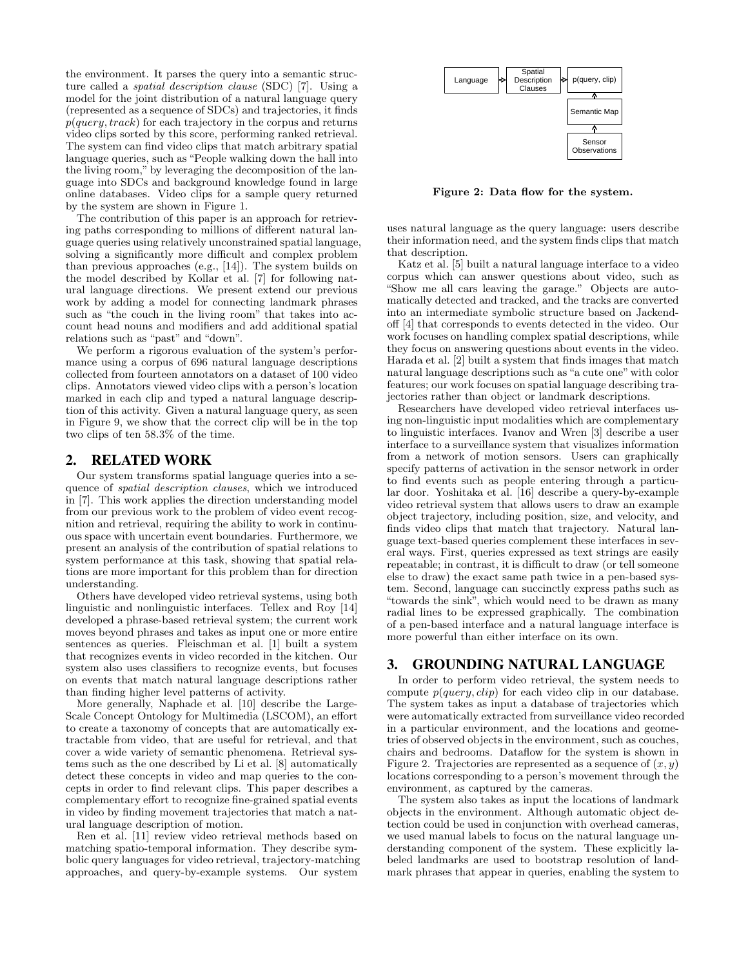the environment. It parses the query into a semantic structure called a spatial description clause (SDC) [7]. Using a model for the joint distribution of a natural language query (represented as a sequence of SDCs) and trajectories, it finds  $p(query, track)$  for each trajectory in the corpus and returns video clips sorted by this score, performing ranked retrieval. The system can find video clips that match arbitrary spatial language queries, such as "People walking down the hall into the living room," by leveraging the decomposition of the language into SDCs and background knowledge found in large online databases. Video clips for a sample query returned by the system are shown in Figure 1.

The contribution of this paper is an approach for retrieving paths corresponding to millions of different natural language queries using relatively unconstrained spatial language, solving a significantly more difficult and complex problem than previous approaches (e.g., [14]). The system builds on the model described by Kollar et al. [7] for following natural language directions. We present extend our previous work by adding a model for connecting landmark phrases such as "the couch in the living room" that takes into account head nouns and modifiers and add additional spatial relations such as "past" and "down".

We perform a rigorous evaluation of the system's performance using a corpus of 696 natural language descriptions collected from fourteen annotators on a dataset of 100 video clips. Annotators viewed video clips with a person's location marked in each clip and typed a natural language description of this activity. Given a natural language query, as seen in Figure 9, we show that the correct clip will be in the top two clips of ten 58.3% of the time.

## 2. RELATED WORK

Our system transforms spatial language queries into a sequence of spatial description clauses, which we introduced in [7]. This work applies the direction understanding model from our previous work to the problem of video event recognition and retrieval, requiring the ability to work in continuous space with uncertain event boundaries. Furthermore, we present an analysis of the contribution of spatial relations to system performance at this task, showing that spatial relations are more important for this problem than for direction understanding.

Others have developed video retrieval systems, using both linguistic and nonlinguistic interfaces. Tellex and Roy [14] developed a phrase-based retrieval system; the current work moves beyond phrases and takes as input one or more entire sentences as queries. Fleischman et al. [1] built a system that recognizes events in video recorded in the kitchen. Our system also uses classifiers to recognize events, but focuses on events that match natural language descriptions rather than finding higher level patterns of activity.

More generally, Naphade et al. [10] describe the Large-Scale Concept Ontology for Multimedia (LSCOM), an effort to create a taxonomy of concepts that are automatically extractable from video, that are useful for retrieval, and that cover a wide variety of semantic phenomena. Retrieval systems such as the one described by Li et al. [8] automatically detect these concepts in video and map queries to the concepts in order to find relevant clips. This paper describes a complementary effort to recognize fine-grained spatial events in video by finding movement trajectories that match a natural language description of motion.

Ren et al. [11] review video retrieval methods based on matching spatio-temporal information. They describe symbolic query languages for video retrieval, trajectory-matching approaches, and query-by-example systems. Our system



Figure 2: Data flow for the system.

uses natural language as the query language: users describe their information need, and the system finds clips that match that description.

Katz et al. [5] built a natural language interface to a video corpus which can answer questions about video, such as "Show me all cars leaving the garage." Objects are automatically detected and tracked, and the tracks are converted into an intermediate symbolic structure based on Jackendoff [4] that corresponds to events detected in the video. Our work focuses on handling complex spatial descriptions, while they focus on answering questions about events in the video. Harada et al. [2] built a system that finds images that match natural language descriptions such as "a cute one" with color features; our work focuses on spatial language describing trajectories rather than object or landmark descriptions.

Researchers have developed video retrieval interfaces using non-linguistic input modalities which are complementary to linguistic interfaces. Ivanov and Wren [3] describe a user interface to a surveillance system that visualizes information from a network of motion sensors. Users can graphically specify patterns of activation in the sensor network in order to find events such as people entering through a particular door. Yoshitaka et al. [16] describe a query-by-example video retrieval system that allows users to draw an example object trajectory, including position, size, and velocity, and finds video clips that match that trajectory. Natural language text-based queries complement these interfaces in several ways. First, queries expressed as text strings are easily repeatable; in contrast, it is difficult to draw (or tell someone else to draw) the exact same path twice in a pen-based system. Second, language can succinctly express paths such as "towards the sink", which would need to be drawn as many radial lines to be expressed graphically. The combination of a pen-based interface and a natural language interface is more powerful than either interface on its own.

# 3. GROUNDING NATURAL LANGUAGE

In order to perform video retrieval, the system needs to compute  $p(query, clip)$  for each video clip in our database. The system takes as input a database of trajectories which were automatically extracted from surveillance video recorded in a particular environment, and the locations and geometries of observed objects in the environment, such as couches, chairs and bedrooms. Dataflow for the system is shown in Figure 2. Trajectories are represented as a sequence of  $(x, y)$ locations corresponding to a person's movement through the environment, as captured by the cameras.

The system also takes as input the locations of landmark objects in the environment. Although automatic object detection could be used in conjunction with overhead cameras, we used manual labels to focus on the natural language understanding component of the system. These explicitly labeled landmarks are used to bootstrap resolution of landmark phrases that appear in queries, enabling the system to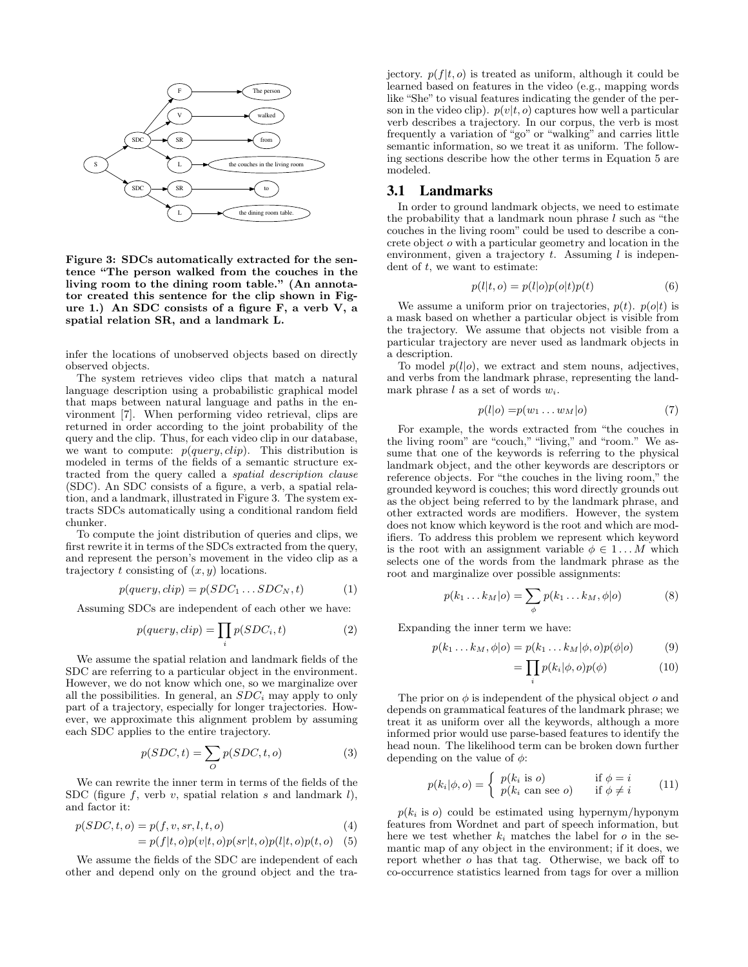

Figure 3: SDCs automatically extracted for the sentence "The person walked from the couches in the living room to the dining room table." (An annotator created this sentence for the clip shown in Figure 1.) An SDC consists of a figure F, a verb V, a spatial relation SR, and a landmark L.

infer the locations of unobserved objects based on directly observed objects.

The system retrieves video clips that match a natural language description using a probabilistic graphical model that maps between natural language and paths in the environment [7]. When performing video retrieval, clips are returned in order according to the joint probability of the query and the clip. Thus, for each video clip in our database, we want to compute:  $p(query, clip)$ . This distribution is modeled in terms of the fields of a semantic structure extracted from the query called a spatial description clause (SDC). An SDC consists of a figure, a verb, a spatial relation, and a landmark, illustrated in Figure 3. The system extracts SDCs automatically using a conditional random field chunker.

To compute the joint distribution of queries and clips, we first rewrite it in terms of the SDCs extracted from the query, and represent the person's movement in the video clip as a trajectory t consisting of  $(x, y)$  locations.

$$
p(query, clip) = p(SDC_1 ... SDC_N, t)
$$
\n<sup>(1)</sup>

Assuming SDCs are independent of each other we have:

$$
p(query, clip) = \prod_{i} p(SDC_i, t)
$$
 (2)

We assume the spatial relation and landmark fields of the SDC are referring to a particular object in the environment. However, we do not know which one, so we marginalize over all the possibilities. In general, an  $SDC_i$  may apply to only part of a trajectory, especially for longer trajectories. However, we approximate this alignment problem by assuming each SDC applies to the entire trajectory.

$$
p(SDC, t) = \sum_{O} p(SDC, t, o)
$$
 (3)

We can rewrite the inner term in terms of the fields of the SDC (figure f, verb v, spatial relation s and landmark  $l$ ), and factor it:

$$
p(SDC, t, o) = p(f, v, sr, l, t, o)
$$
\n<sup>(4)</sup>

$$
= p(f|t, o)p(v|t, o)p(sr|t, o)p(l|t, o)p(t, o) \quad (5)
$$

We assume the fields of the SDC are independent of each other and depend only on the ground object and the trajectory.  $p(f|t, o)$  is treated as uniform, although it could be learned based on features in the video (e.g., mapping words like "She" to visual features indicating the gender of the person in the video clip).  $p(v|t, o)$  captures how well a particular verb describes a trajectory. In our corpus, the verb is most frequently a variation of "go" or "walking" and carries little semantic information, so we treat it as uniform. The following sections describe how the other terms in Equation 5 are modeled.

# 3.1 Landmarks

In order to ground landmark objects, we need to estimate the probability that a landmark noun phrase  $l$  such as "the couches in the living room" could be used to describe a concrete object o with a particular geometry and location in the environment, given a trajectory  $t$ . Assuming  $l$  is independent of  $t$ , we want to estimate:

$$
p(l|t, o) = p(l|o)p(o|t)p(t)
$$
\n<sup>(6)</sup>

We assume a uniform prior on trajectories,  $p(t)$ .  $p(o|t)$  is a mask based on whether a particular object is visible from the trajectory. We assume that objects not visible from a particular trajectory are never used as landmark objects in a description.

To model  $p(l|o)$ , we extract and stem nouns, adjectives, and verbs from the landmark phrase, representing the landmark phrase  $l$  as a set of words  $w_i$ .

$$
p(l|o) = p(w_1 \dots w_M|o) \tag{7}
$$

For example, the words extracted from "the couches in the living room" are "couch," "living," and "room." We assume that one of the keywords is referring to the physical landmark object, and the other keywords are descriptors or reference objects. For "the couches in the living room," the grounded keyword is couches; this word directly grounds out as the object being referred to by the landmark phrase, and other extracted words are modifiers. However, the system does not know which keyword is the root and which are modifiers. To address this problem we represent which keyword is the root with an assignment variable  $\phi \in 1...M$  which selects one of the words from the landmark phrase as the root and marginalize over possible assignments:

$$
p(k_1 \dots k_M | o) = \sum_{\phi} p(k_1 \dots k_M, \phi | o)
$$
 (8)

Expanding the inner term we have:

$$
p(k_1 \dots k_M, \phi | o) = p(k_1 \dots k_M | \phi, o) p(\phi | o)
$$
 (9)

$$
= \prod_{i} p(k_i | \phi, o) p(\phi) \tag{10}
$$

The prior on  $\phi$  is independent of the physical object  $o$  and depends on grammatical features of the landmark phrase; we treat it as uniform over all the keywords, although a more informed prior would use parse-based features to identify the head noun. The likelihood term can be broken down further depending on the value of  $\phi$ :

$$
p(k_i|\phi, o) = \begin{cases} p(k_i \text{ is } o) & \text{if } \phi = i \\ p(k_i \text{ can see } o) & \text{if } \phi \neq i \end{cases}
$$
 (11)

 $p(k_i \text{ is } o)$  could be estimated using hypernym/hyponym features from Wordnet and part of speech information, but here we test whether  $k_i$  matches the label for  $o$  in the semantic map of any object in the environment; if it does, we report whether o has that tag. Otherwise, we back off to co-occurrence statistics learned from tags for over a million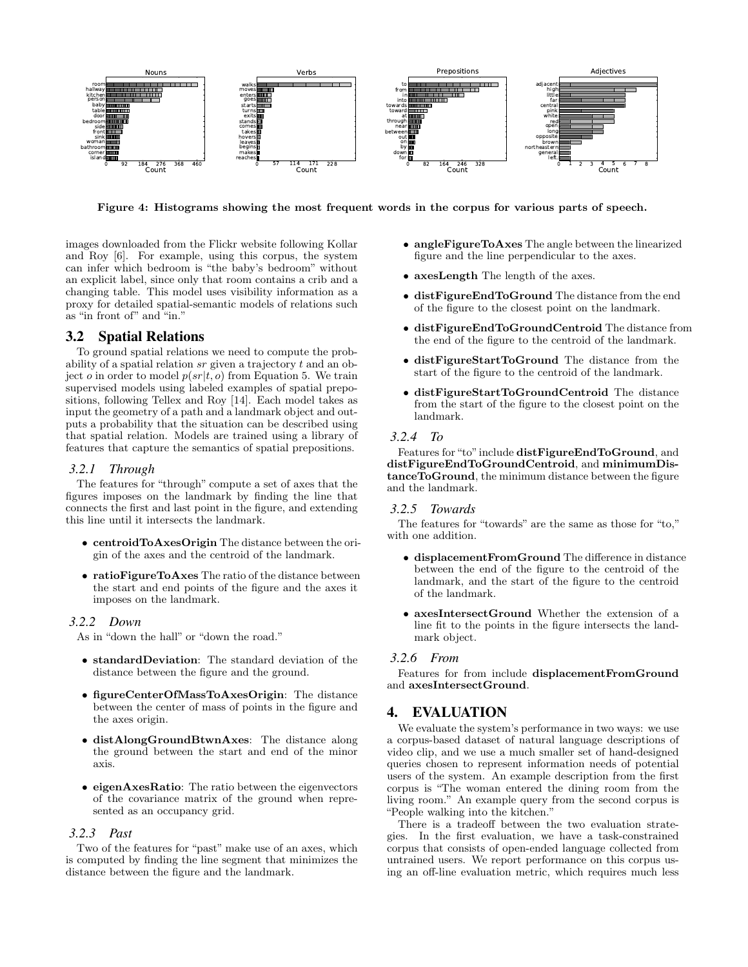

Figure 4: Histograms showing the most frequent words in the corpus for various parts of speech.

images downloaded from the Flickr website following Kollar and Roy [6]. For example, using this corpus, the system can infer which bedroom is "the baby's bedroom" without an explicit label, since only that room contains a crib and a changing table. This model uses visibility information as a proxy for detailed spatial-semantic models of relations such as "in front of" and "in."

#### 3.2 Spatial Relations

To ground spatial relations we need to compute the probability of a spatial relation  $sr$  given a trajectory  $t$  and an object o in order to model  $p(sr|t, o)$  from Equation 5. We train supervised models using labeled examples of spatial prepositions, following Tellex and Roy [14]. Each model takes as input the geometry of a path and a landmark object and outputs a probability that the situation can be described using that spatial relation. Models are trained using a library of features that capture the semantics of spatial prepositions.

#### *3.2.1 Through*

The features for "through" compute a set of axes that the figures imposes on the landmark by finding the line that connects the first and last point in the figure, and extending this line until it intersects the landmark.

- centroidToAxesOrigin The distance between the origin of the axes and the centroid of the landmark.
- ratioFigureToAxes The ratio of the distance between the start and end points of the figure and the axes it imposes on the landmark.

#### *3.2.2 Down*

As in "down the hall" or "down the road."

- standardDeviation: The standard deviation of the distance between the figure and the ground.
- figureCenterOfMassToAxesOrigin: The distance between the center of mass of points in the figure and the axes origin.
- distAlongGroundBtwnAxes: The distance along the ground between the start and end of the minor axis.
- eigenAxesRatio: The ratio between the eigenvectors of the covariance matrix of the ground when represented as an occupancy grid.

### *3.2.3 Past*

Two of the features for "past" make use of an axes, which is computed by finding the line segment that minimizes the distance between the figure and the landmark.

- angleFigureToAxes The angle between the linearized figure and the line perpendicular to the axes.
- axesLength The length of the axes.
- distFigureEndToGround The distance from the end of the figure to the closest point on the landmark.
- distFigureEndToGroundCentroid The distance from the end of the figure to the centroid of the landmark.
- distFigureStartToGround The distance from the start of the figure to the centroid of the landmark.
- distFigureStartToGroundCentroid The distance from the start of the figure to the closest point on the landmark.

#### *3.2.4 To*

Features for "to"include distFigureEndToGround, and distFigureEndToGroundCentroid, and minimumDistanceToGround, the minimum distance between the figure and the landmark.

#### *3.2.5 Towards*

The features for "towards" are the same as those for "to," with one addition.

- displacementFromGround The difference in distance between the end of the figure to the centroid of the landmark, and the start of the figure to the centroid of the landmark.
- axesIntersectGround Whether the extension of a line fit to the points in the figure intersects the landmark object.

#### *3.2.6 From*

Features for from include displacementFromGround and axesIntersectGround.

# 4. EVALUATION

We evaluate the system's performance in two ways: we use a corpus-based dataset of natural language descriptions of video clip, and we use a much smaller set of hand-designed queries chosen to represent information needs of potential users of the system. An example description from the first corpus is "The woman entered the dining room from the living room." An example query from the second corpus is "People walking into the kitchen."

There is a tradeoff between the two evaluation strategies. In the first evaluation, we have a task-constrained corpus that consists of open-ended language collected from untrained users. We report performance on this corpus using an off-line evaluation metric, which requires much less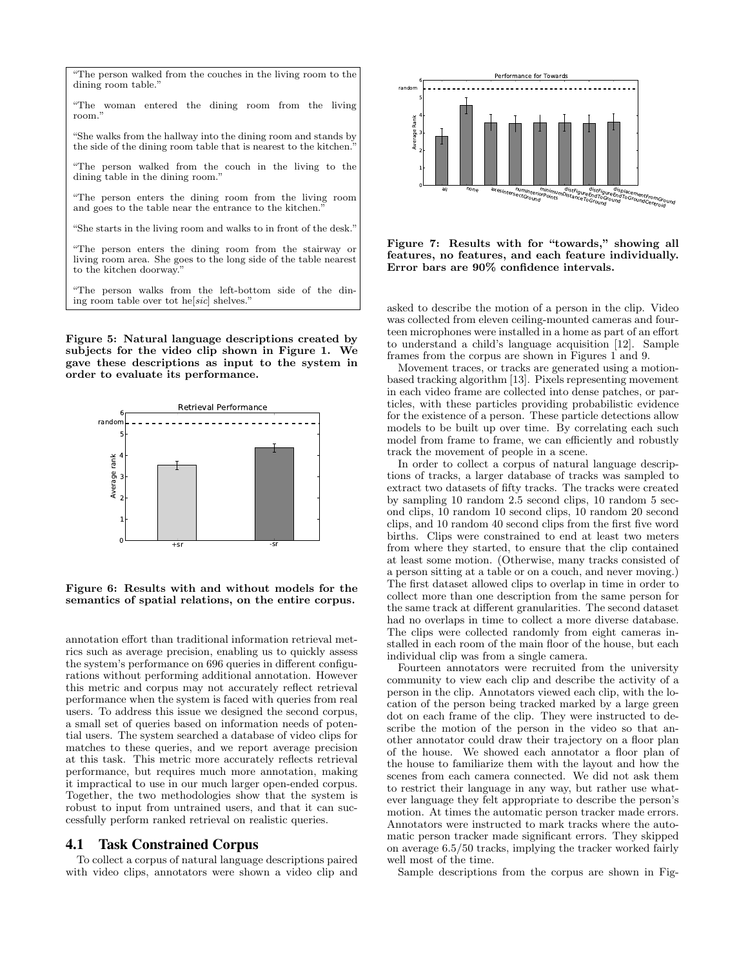"The person walked from the couches in the living room to the dining room table."

"The woman entered the dining room from the living room."

"She walks from the hallway into the dining room and stands by the side of the dining room table that is nearest to the kitchen."

"The person walked from the couch in the living to the dining table in the dining room."

"The person enters the dining room from the living room and goes to the table near the entrance to the kitchen."

"She starts in the living room and walks to in front of the desk."

"The person enters the dining room from the stairway or living room area. She goes to the long side of the table nearest to the kitchen doorway."

"The person walks from the left-bottom side of the dining room table over tot he[sic] shelves."

Figure 5: Natural language descriptions created by subjects for the video clip shown in Figure 1. We gave these descriptions as input to the system in order to evaluate its performance.



#### Figure 6: Results with and without models for the semantics of spatial relations, on the entire corpus.

annotation effort than traditional information retrieval metrics such as average precision, enabling us to quickly assess the system's performance on 696 queries in different configurations without performing additional annotation. However this metric and corpus may not accurately reflect retrieval performance when the system is faced with queries from real users. To address this issue we designed the second corpus, a small set of queries based on information needs of potential users. The system searched a database of video clips for matches to these queries, and we report average precision at this task. This metric more accurately reflects retrieval performance, but requires much more annotation, making it impractical to use in our much larger open-ended corpus. Together, the two methodologies show that the system is robust to input from untrained users, and that it can successfully perform ranked retrieval on realistic queries.

## 4.1 Task Constrained Corpus

To collect a corpus of natural language descriptions paired with video clips, annotators were shown a video clip and



Figure 7: Results with for "towards," showing all features, no features, and each feature individually. Error bars are 90% confidence intervals.

asked to describe the motion of a person in the clip. Video was collected from eleven ceiling-mounted cameras and fourteen microphones were installed in a home as part of an effort to understand a child's language acquisition [12]. Sample frames from the corpus are shown in Figures 1 and 9.

Movement traces, or tracks are generated using a motionbased tracking algorithm [13]. Pixels representing movement in each video frame are collected into dense patches, or particles, with these particles providing probabilistic evidence for the existence of a person. These particle detections allow models to be built up over time. By correlating each such model from frame to frame, we can efficiently and robustly track the movement of people in a scene.

In order to collect a corpus of natural language descriptions of tracks, a larger database of tracks was sampled to extract two datasets of fifty tracks. The tracks were created by sampling 10 random 2.5 second clips, 10 random 5 second clips, 10 random 10 second clips, 10 random 20 second clips, and 10 random 40 second clips from the first five word births. Clips were constrained to end at least two meters from where they started, to ensure that the clip contained at least some motion. (Otherwise, many tracks consisted of a person sitting at a table or on a couch, and never moving.) The first dataset allowed clips to overlap in time in order to collect more than one description from the same person for the same track at different granularities. The second dataset had no overlaps in time to collect a more diverse database. The clips were collected randomly from eight cameras installed in each room of the main floor of the house, but each individual clip was from a single camera.

Fourteen annotators were recruited from the university community to view each clip and describe the activity of a person in the clip. Annotators viewed each clip, with the location of the person being tracked marked by a large green dot on each frame of the clip. They were instructed to describe the motion of the person in the video so that another annotator could draw their trajectory on a floor plan of the house. We showed each annotator a floor plan of the house to familiarize them with the layout and how the scenes from each camera connected. We did not ask them to restrict their language in any way, but rather use whatever language they felt appropriate to describe the person's motion. At times the automatic person tracker made errors. Annotators were instructed to mark tracks where the automatic person tracker made significant errors. They skipped on average 6.5/50 tracks, implying the tracker worked fairly well most of the time.

Sample descriptions from the corpus are shown in Fig-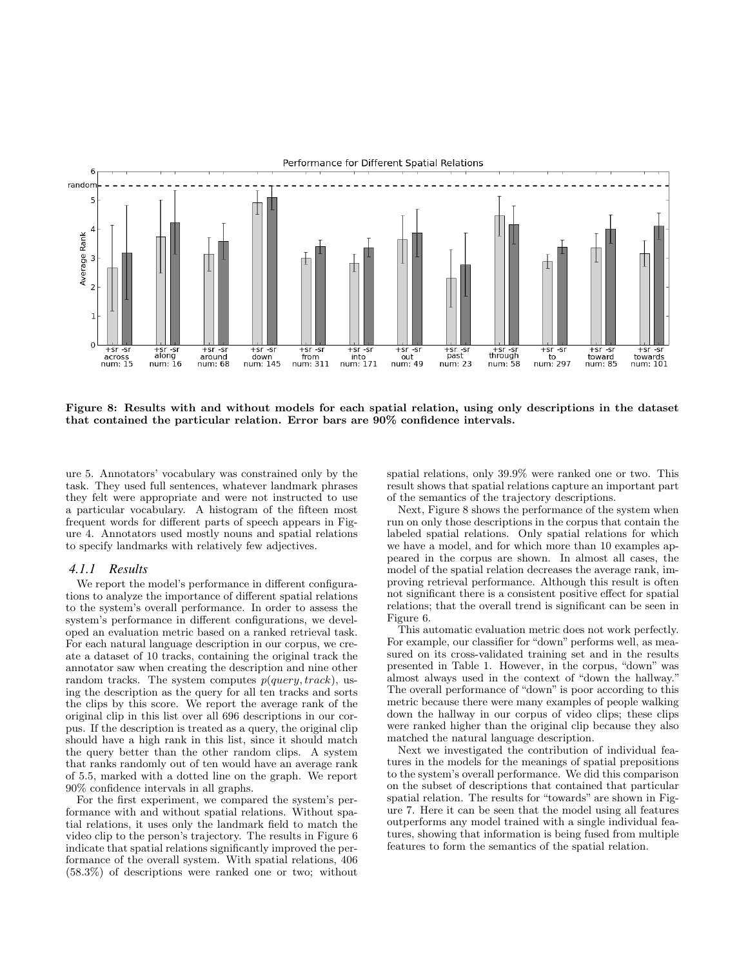

Figure 8: Results with and without models for each spatial relation, using only descriptions in the dataset that contained the particular relation. Error bars are 90% confidence intervals.

ure 5. Annotators' vocabulary was constrained only by the task. They used full sentences, whatever landmark phrases they felt were appropriate and were not instructed to use a particular vocabulary. A histogram of the fifteen most frequent words for different parts of speech appears in Figure 4. Annotators used mostly nouns and spatial relations to specify landmarks with relatively few adjectives.

#### *4.1.1 Results*

We report the model's performance in different configurations to analyze the importance of different spatial relations to the system's overall performance. In order to assess the system's performance in different configurations, we developed an evaluation metric based on a ranked retrieval task. For each natural language description in our corpus, we create a dataset of 10 tracks, containing the original track the annotator saw when creating the description and nine other random tracks. The system computes  $p(query, track)$ , using the description as the query for all ten tracks and sorts the clips by this score. We report the average rank of the original clip in this list over all 696 descriptions in our corpus. If the description is treated as a query, the original clip should have a high rank in this list, since it should match the query better than the other random clips. A system that ranks randomly out of ten would have an average rank of 5.5, marked with a dotted line on the graph. We report 90% confidence intervals in all graphs.

For the first experiment, we compared the system's performance with and without spatial relations. Without spatial relations, it uses only the landmark field to match the video clip to the person's trajectory. The results in Figure 6 indicate that spatial relations significantly improved the performance of the overall system. With spatial relations, 406 (58.3%) of descriptions were ranked one or two; without

spatial relations, only 39.9% were ranked one or two. This result shows that spatial relations capture an important part of the semantics of the trajectory descriptions.

Next, Figure 8 shows the performance of the system when run on only those descriptions in the corpus that contain the labeled spatial relations. Only spatial relations for which we have a model, and for which more than 10 examples appeared in the corpus are shown. In almost all cases, the model of the spatial relation decreases the average rank, improving retrieval performance. Although this result is often not significant there is a consistent positive effect for spatial relations; that the overall trend is significant can be seen in Figure 6.

This automatic evaluation metric does not work perfectly. For example, our classifier for "down" performs well, as measured on its cross-validated training set and in the results presented in Table 1. However, in the corpus, "down" was almost always used in the context of "down the hallway." The overall performance of "down" is poor according to this metric because there were many examples of people walking down the hallway in our corpus of video clips; these clips were ranked higher than the original clip because they also matched the natural language description.

Next we investigated the contribution of individual features in the models for the meanings of spatial prepositions to the system's overall performance. We did this comparison on the subset of descriptions that contained that particular spatial relation. The results for "towards" are shown in Figure 7. Here it can be seen that the model using all features outperforms any model trained with a single individual features, showing that information is being fused from multiple features to form the semantics of the spatial relation.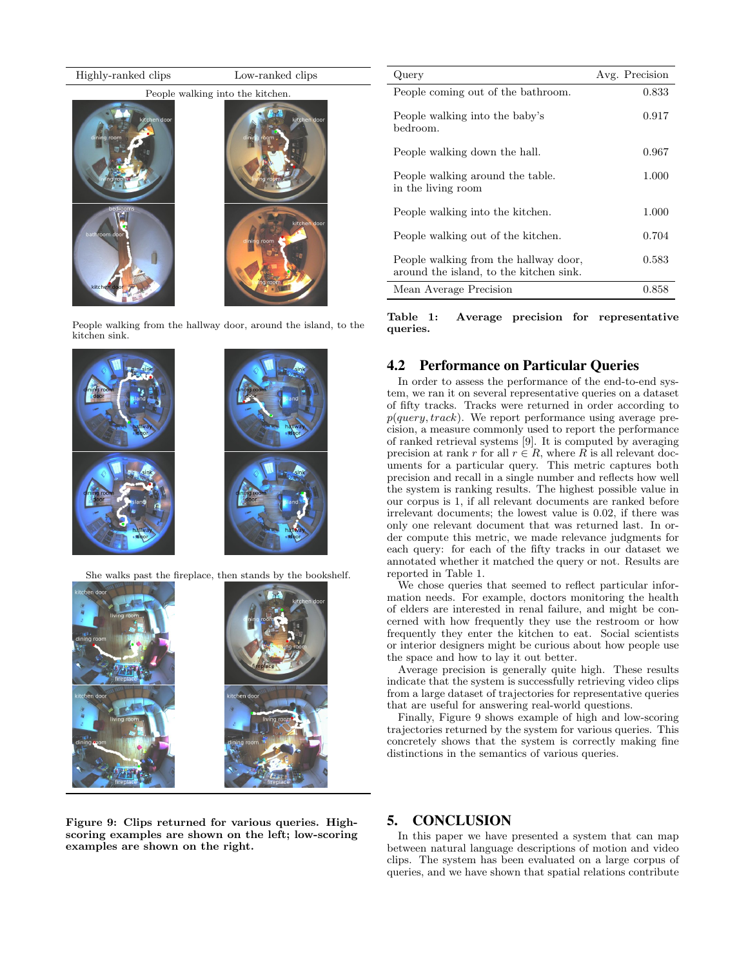

People walking from the hallway door, around the island, to the kitchen sink.



She walks past the fireplace, then stands by the bookshelf.



Figure 9: Clips returned for various queries. Highscoring examples are shown on the left; low-scoring examples are shown on the right.

| Query                                                                            | Avg. Precision |
|----------------------------------------------------------------------------------|----------------|
| People coming out of the bathroom.                                               | 0.833          |
| People walking into the baby's<br>bedroom.                                       | 0.917          |
| People walking down the hall.                                                    | 0.967          |
| People walking around the table.<br>in the living room                           | 1.000          |
| People walking into the kitchen.                                                 | 1.000          |
| People walking out of the kitchen.                                               | 0.704          |
| People walking from the hallway door,<br>around the island, to the kitchen sink. | 0.583          |
| Mean Average Precision                                                           | 0.858          |

Table 1: Average precision for representative queries.

## 4.2 Performance on Particular Queries

In order to assess the performance of the end-to-end system, we ran it on several representative queries on a dataset of fifty tracks. Tracks were returned in order according to  $p(query, track)$ . We report performance using average precision, a measure commonly used to report the performance of ranked retrieval systems [9]. It is computed by averaging precision at rank r for all  $r \in R$ , where R is all relevant documents for a particular query. This metric captures both precision and recall in a single number and reflects how well the system is ranking results. The highest possible value in our corpus is 1, if all relevant documents are ranked before irrelevant documents; the lowest value is 0.02, if there was only one relevant document that was returned last. In order compute this metric, we made relevance judgments for each query: for each of the fifty tracks in our dataset we annotated whether it matched the query or not. Results are reported in Table 1.

We chose queries that seemed to reflect particular information needs. For example, doctors monitoring the health of elders are interested in renal failure, and might be concerned with how frequently they use the restroom or how frequently they enter the kitchen to eat. Social scientists or interior designers might be curious about how people use the space and how to lay it out better.

Average precision is generally quite high. These results indicate that the system is successfully retrieving video clips from a large dataset of trajectories for representative queries that are useful for answering real-world questions.

Finally, Figure 9 shows example of high and low-scoring trajectories returned by the system for various queries. This concretely shows that the system is correctly making fine distinctions in the semantics of various queries.

# 5. CONCLUSION

In this paper we have presented a system that can map between natural language descriptions of motion and video clips. The system has been evaluated on a large corpus of queries, and we have shown that spatial relations contribute